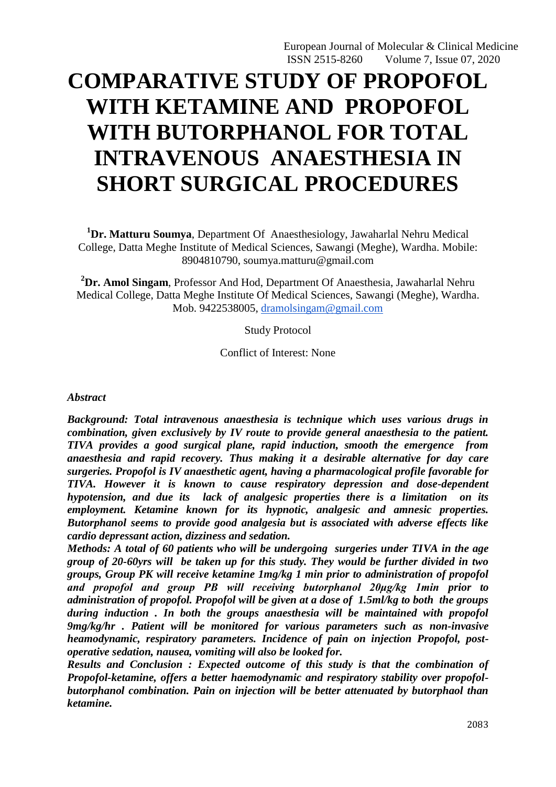# **COMPARATIVE STUDY OF PROPOFOL WITH KETAMINE AND PROPOFOL WITH BUTORPHANOL FOR TOTAL INTRAVENOUS ANAESTHESIA IN SHORT SURGICAL PROCEDURES**

**<sup>1</sup>Dr. Matturu Soumya**, Department Of Anaesthesiology, Jawaharlal Nehru Medical College, Datta Meghe Institute of Medical Sciences, Sawangi (Meghe), Wardha. Mobile: 8904810790, soumya.matturu@gmail.com

**<sup>2</sup>Dr. Amol Singam**, Professor And Hod, Department Of Anaesthesia, Jawaharlal Nehru Medical College, Datta Meghe Institute Of Medical Sciences, Sawangi (Meghe), Wardha. Mob. 9422538005, [dramolsingam@gmail.com](mailto:dramolsingam@gmail.com)

Study Protocol

Conflict of Interest: None

#### *Abstract*

*Background: Total intravenous anaesthesia is technique which uses various drugs in combination, given exclusively by IV route to provide general anaesthesia to the patient. TIVA provides a good surgical plane, rapid induction, smooth the emergence from anaesthesia and rapid recovery. Thus making it a desirable alternative for day care surgeries. Propofol is IV anaesthetic agent, having a pharmacological profile favorable for TIVA. However it is known to cause respiratory depression and dose-dependent hypotension, and due its lack of analgesic properties there is a limitation on its employment. Ketamine known for its hypnotic, analgesic and amnesic properties. Butorphanol seems to provide good analgesia but is associated with adverse effects like cardio depressant action, dizziness and sedation.*

*Methods: A total of 60 patients who will be undergoing surgeries under TIVA in the age group of 20-60yrs will be taken up for this study. They would be further divided in two groups, Group PK will receive ketamine 1mg/kg 1 min prior to administration of propofol and propofol and group PB will receiving butorphanol 20μg/kg 1min prior to administration of propofol. Propofol will be given at a dose of 1.5ml/kg to both the groups during induction . In both the groups anaesthesia will be maintained with propofol 9mg/kg/hr . Patient will be monitored for various parameters such as non-invasive heamodynamic, respiratory parameters. Incidence of pain on injection Propofol, postoperative sedation, nausea, vomiting will also be looked for.*

*Results and Conclusion : Expected outcome of this study is that the combination of Propofol-ketamine, offers a better haemodynamic and respiratory stability over propofolbutorphanol combination. Pain on injection will be better attenuated by butorphaol than ketamine.*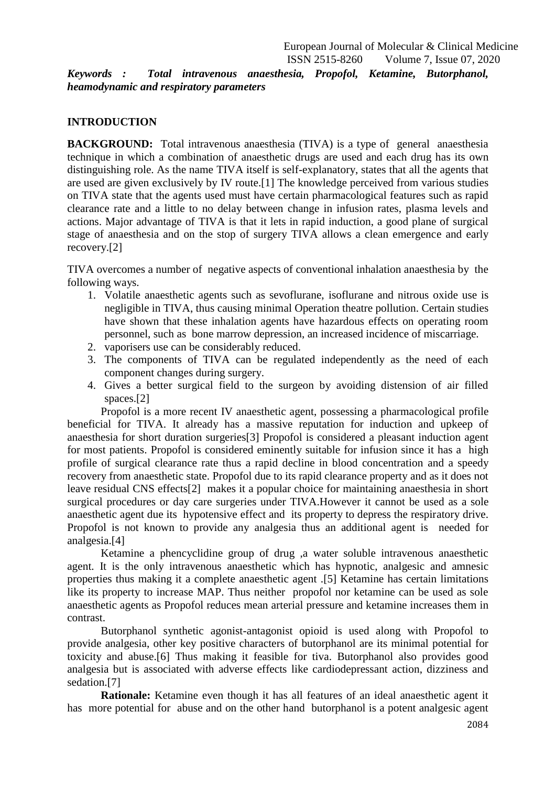*Keywords : Total intravenous anaesthesia, Propofol, Ketamine, Butorphanol, heamodynamic and respiratory parameters*

# **INTRODUCTION**

**BACKGROUND:** Total intravenous anaesthesia (TIVA) is a type of general anaesthesia technique in which a combination of anaesthetic drugs are used and each drug has its own distinguishing role. As the name TIVA itself is self-explanatory, states that all the agents that are used are given exclusively by IV route.[1] The knowledge perceived from various studies on TIVA state that the agents used must have certain pharmacological features such as rapid clearance rate and a little to no delay between change in infusion rates, plasma levels and actions. Major advantage of TIVA is that it lets in rapid induction, a good plane of surgical stage of anaesthesia and on the stop of surgery TIVA allows a clean emergence and early recovery.[2]

TIVA overcomes a number of negative aspects of conventional inhalation anaesthesia by the following ways.

- 1. Volatile anaesthetic agents such as sevoflurane, isoflurane and nitrous oxide use is negligible in TIVA, thus causing minimal Operation theatre pollution. Certain studies have shown that these inhalation agents have hazardous effects on operating room personnel, such as bone marrow depression, an increased incidence of miscarriage.
- 2. vaporisers use can be considerably reduced.
- 3. The components of TIVA can be regulated independently as the need of each component changes during surgery.
- 4. Gives a better surgical field to the surgeon by avoiding distension of air filled spaces.[2]

Propofol is a more recent IV anaesthetic agent, possessing a pharmacological profile beneficial for TIVA. It already has a massive reputation for induction and upkeep of anaesthesia for short duration surgeries[3] Propofol is considered a pleasant induction agent for most patients. Propofol is considered eminently suitable for infusion since it has a high profile of surgical clearance rate thus a rapid decline in blood concentration and a speedy recovery from anaesthetic state. Propofol due to its rapid clearance property and as it does not leave residual CNS effects[2] makes it a popular choice for maintaining anaesthesia in short surgical procedures or day care surgeries under TIVA.However it cannot be used as a sole anaesthetic agent due its hypotensive effect and its property to depress the respiratory drive. Propofol is not known to provide any analgesia thus an additional agent is needed for analgesia.[4]

Ketamine a phencyclidine group of drug ,a water soluble intravenous anaesthetic agent. It is the only intravenous anaesthetic which has hypnotic, analgesic and amnesic properties thus making it a complete anaesthetic agent .[5] Ketamine has certain limitations like its property to increase MAP. Thus neither propofol nor ketamine can be used as sole anaesthetic agents as Propofol reduces mean arterial pressure and ketamine increases them in contrast.

Butorphanol synthetic agonist-antagonist opioid is used along with Propofol to provide analgesia, other key positive characters of butorphanol are its minimal potential for toxicity and abuse.[6] Thus making it feasible for tiva. Butorphanol also provides good analgesia but is associated with adverse effects like cardiodepressant action, dizziness and sedation.[7]

**Rationale:** Ketamine even though it has all features of an ideal anaesthetic agent it has more potential for abuse and on the other hand butorphanol is a potent analgesic agent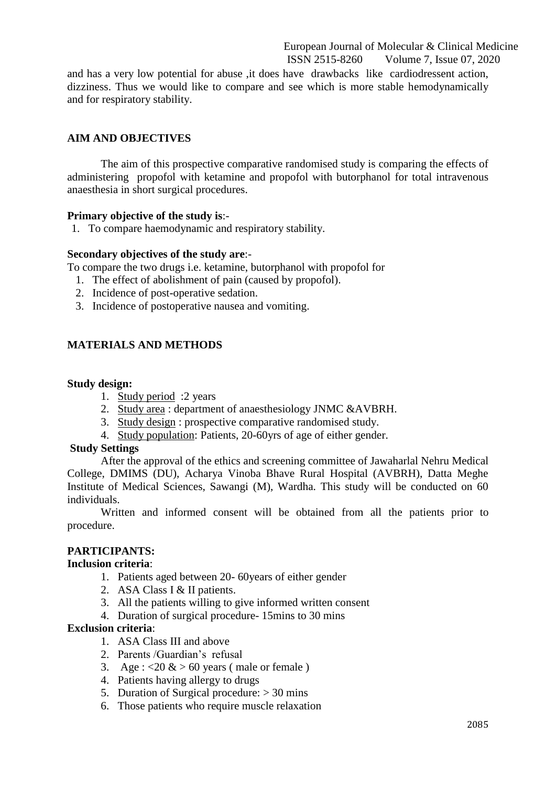and has a very low potential for abuse ,it does have drawbacks like cardiodressent action, dizziness. Thus we would like to compare and see which is more stable hemodynamically and for respiratory stability.

# **AIM AND OBJECTIVES**

The aim of this prospective comparative randomised study is comparing the effects of administering propofol with ketamine and propofol with butorphanol for total intravenous anaesthesia in short surgical procedures.

# **Primary objective of the study is**:-

1. To compare haemodynamic and respiratory stability.

## **Secondary objectives of the study are**:-

To compare the two drugs i.e. ketamine, butorphanol with propofol for

- 1. The effect of abolishment of pain (caused by propofol).
- 2. Incidence of post-operative sedation.
- 3. Incidence of postoperative nausea and vomiting.

# **MATERIALS AND METHODS**

## **Study design:**

- 1. Study period :2 years
- 2. Study area : department of anaesthesiology JNMC &AVBRH.
- 3. Study design : prospective comparative randomised study.
- 4. Study population: Patients, 20-60yrs of age of either gender.

#### **Study Settings**

After the approval of the ethics and screening committee of Jawaharlal Nehru Medical College, DMIMS (DU), Acharya Vinoba Bhave Rural Hospital (AVBRH), Datta Meghe Institute of Medical Sciences, Sawangi (M), Wardha. This study will be conducted on 60 individuals.

Written and informed consent will be obtained from all the patients prior to procedure.

# **PARTICIPANTS:**

#### **Inclusion criteria**:

- 1. Patients aged between 20- 60years of either gender
- 2. ASA Class I & II patients.
- 3. All the patients willing to give informed written consent
- 4. Duration of surgical procedure- 15mins to 30 mins

## **Exclusion criteria**:

- 1. ASA Class III and above
- 2. Parents /Guardian's refusal
- 3. Age :  $\langle 20 \& 50 \rangle$  years (male or female)
- 4. Patients having allergy to drugs
- 5. Duration of Surgical procedure: > 30 mins
- 6. Those patients who require muscle relaxation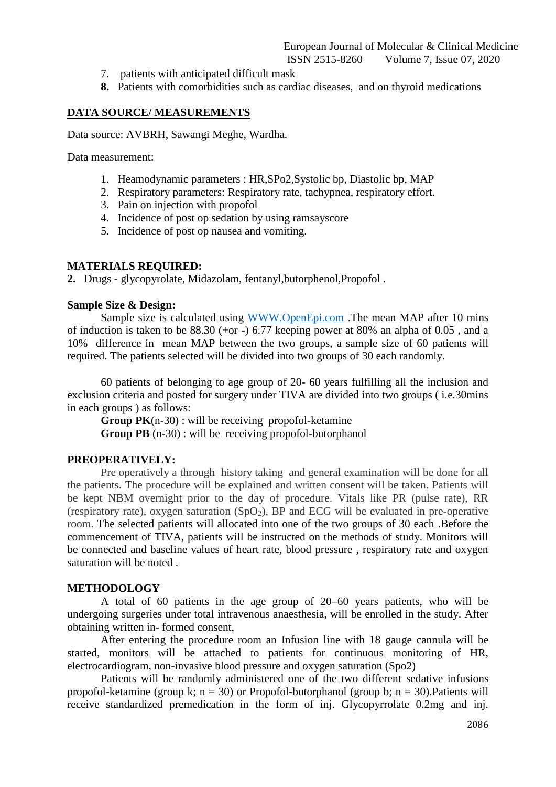- 7. patients with anticipated difficult mask
- **8.** Patients with comorbidities such as cardiac diseases, and on thyroid medications

## **DATA SOURCE/ MEASUREMENTS**

Data source: AVBRH, Sawangi Meghe, Wardha.

Data measurement:

- 1. Heamodynamic parameters : HR,SPo2,Systolic bp, Diastolic bp, MAP
- 2. Respiratory parameters: Respiratory rate, tachypnea, respiratory effort.
- 3. Pain on injection with propofol
- 4. Incidence of post op sedation by using ramsayscore
- 5. Incidence of post op nausea and vomiting.

#### **MATERIALS REQUIRED:**

**2.** Drugs - glycopyrolate, Midazolam, fentanyl,butorphenol,Propofol .

#### **Sample Size & Design:**

Sample size is calculated using WWW.OpenEpi.com .The mean MAP after 10 mins of induction is taken to be  $88.30$  (+or -) 6.77 keeping power at  $80\%$  an alpha of  $0.05$ , and a 10% difference in mean MAP between the two groups, a sample size of 60 patients will required. The patients selected will be divided into two groups of 30 each randomly.

60 patients of belonging to age group of 20- 60 years fulfilling all the inclusion and exclusion criteria and posted for surgery under TIVA are divided into two groups ( i.e.30mins in each groups ) as follows:

**Group PK**(n-30) : will be receiving propofol-ketamine **Group PB** (n-30) : will be receiving propofol-butorphanol

#### **PREOPERATIVELY:**

Pre operatively a through history taking and general examination will be done for all the patients. The procedure will be explained and written consent will be taken. Patients will be kept NBM overnight prior to the day of procedure. Vitals like PR (pulse rate), RR (respiratory rate), oxygen saturation  $(SpO<sub>2</sub>)$ , BP and ECG will be evaluated in pre-operative room. The selected patients will allocated into one of the two groups of 30 each .Before the commencement of TIVA, patients will be instructed on the methods of study. Monitors will be connected and baseline values of heart rate, blood pressure , respiratory rate and oxygen saturation will be noted .

### **METHODOLOGY**

A total of 60 patients in the age group of 20–60 years patients, who will be undergoing surgeries under total intravenous anaesthesia, will be enrolled in the study. After obtaining written in- formed consent,

After entering the procedure room an Infusion line with 18 gauge cannula will be started, monitors will be attached to patients for continuous monitoring of HR, electrocardiogram, non-invasive blood pressure and oxygen saturation (Spo2)

Patients will be randomly administered one of the two different sedative infusions propofol-ketamine (group k;  $n = 30$ ) or Propofol-butorphanol (group b;  $n = 30$ ). Patients will receive standardized premedication in the form of inj. Glycopyrrolate 0.2mg and inj.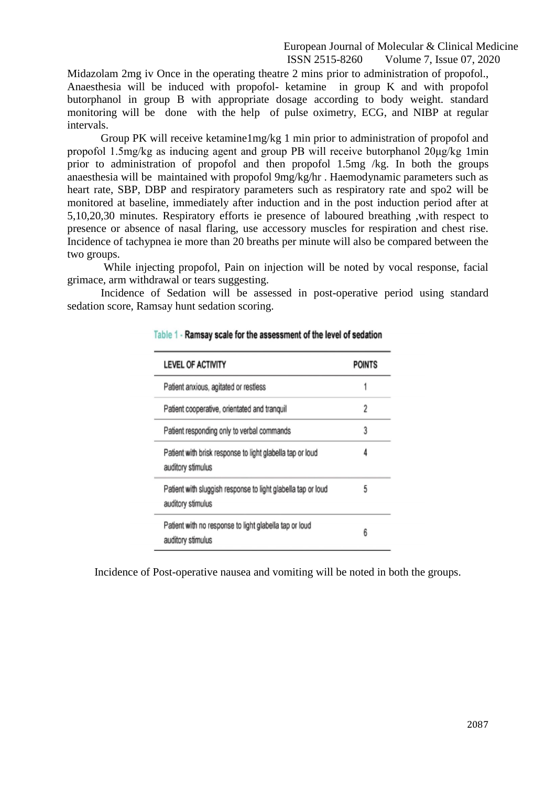Midazolam 2mg iv Once in the operating theatre 2 mins prior to administration of propofol., Anaesthesia will be induced with propofol- ketamine in group K and with propofol butorphanol in group B with appropriate dosage according to body weight. standard monitoring will be done with the help of pulse oximetry, ECG, and NIBP at regular intervals.

Group PK will receive ketamine1mg/kg 1 min prior to administration of propofol and propofol 1.5mg/kg as inducing agent and group PB will receive butorphanol 20μg/kg 1min prior to administration of propofol and then propofol 1.5mg /kg. In both the groups anaesthesia will be maintained with propofol 9mg/kg/hr . Haemodynamic parameters such as heart rate, SBP, DBP and respiratory parameters such as respiratory rate and spo2 will be monitored at baseline, immediately after induction and in the post induction period after at 5,10,20,30 minutes. Respiratory efforts ie presence of laboured breathing ,with respect to presence or absence of nasal flaring, use accessory muscles for respiration and chest rise. Incidence of tachypnea ie more than 20 breaths per minute will also be compared between the two groups.

While injecting propofol, Pain on injection will be noted by vocal response, facial grimace, arm withdrawal or tears suggesting.

Incidence of Sedation will be assessed in post-operative period using standard sedation score, Ramsay hunt sedation scoring.

| <b>LEVEL OF ACTIVITY</b>                                                          | <b>POINTS</b> |
|-----------------------------------------------------------------------------------|---------------|
| Patient anxious, agitated or restless                                             |               |
| Patient cooperative, orientated and tranquil                                      | 2             |
| Patient responding only to verbal commands                                        | 3             |
| Patient with brisk response to light glabella tap or loud<br>auditory stimulus    | 4             |
| Patient with sluggish response to light glabella tap or loud<br>auditory stimulus | 5             |
| Patient with no response to light glabella tap or loud<br>auditory stimulus       | 6             |

## Table 1 - Ramsay scale for the assessment of the level of sedation

Incidence of Post-operative nausea and vomiting will be noted in both the groups.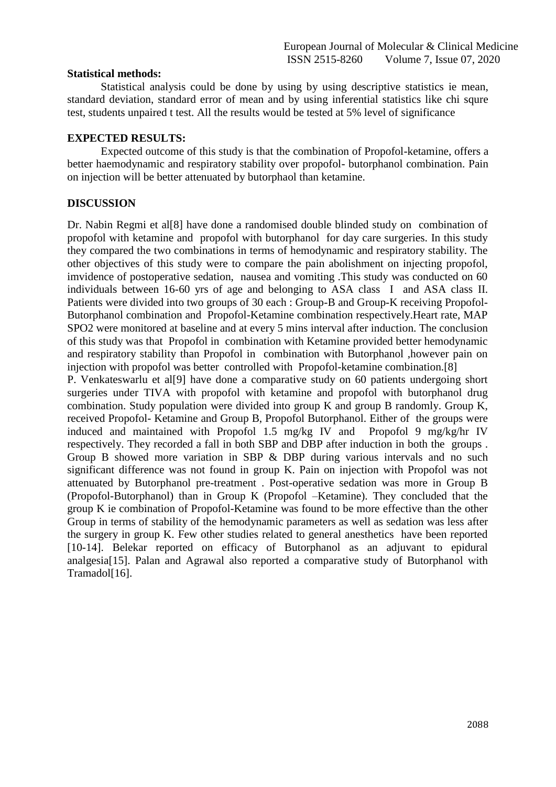## **Statistical methods:**

Statistical analysis could be done by using by using descriptive statistics ie mean, standard deviation, standard error of mean and by using inferential statistics like chi squre test, students unpaired t test. All the results would be tested at 5% level of significance

## **EXPECTED RESULTS:**

Expected outcome of this study is that the combination of Propofol-ketamine, offers a better haemodynamic and respiratory stability over propofol- butorphanol combination. Pain on injection will be better attenuated by butorphaol than ketamine.

# **DISCUSSION**

Dr. Nabin Regmi et al[8] have done a randomised double blinded study on combination of propofol with ketamine and propofol with butorphanol for day care surgeries. In this study they compared the two combinations in terms of hemodynamic and respiratory stability. The other objectives of this study were to compare the pain abolishment on injecting propofol, imvidence of postoperative sedation, nausea and vomiting .This study was conducted on 60 individuals between 16-60 yrs of age and belonging to ASA class I and ASA class II. Patients were divided into two groups of 30 each : Group-B and Group-K receiving Propofol-Butorphanol combination and Propofol-Ketamine combination respectively.Heart rate, MAP SPO2 were monitored at baseline and at every 5 mins interval after induction. The conclusion of this study was that Propofol in combination with Ketamine provided better hemodynamic and respiratory stability than Propofol in combination with Butorphanol ,however pain on injection with propofol was better controlled with Propofol-ketamine combination.<sup>[8]</sup>

P. Venkateswarlu et al[9] have done a comparative study on 60 patients undergoing short surgeries under TIVA with propofol with ketamine and propofol with butorphanol drug combination. Study population were divided into group K and group B randomly. Group K, received Propofol- Ketamine and Group B, Propofol Butorphanol. Either of the groups were induced and maintained with Propofol 1.5 mg/kg IV and Propofol 9 mg/kg/hr IV respectively. They recorded a fall in both SBP and DBP after induction in both the groups . Group B showed more variation in SBP & DBP during various intervals and no such significant difference was not found in group K. Pain on injection with Propofol was not attenuated by Butorphanol pre-treatment . Post-operative sedation was more in Group B (Propofol-Butorphanol) than in Group K (Propofol –Ketamine). They concluded that the group K ie combination of Propofol-Ketamine was found to be more effective than the other Group in terms of stability of the hemodynamic parameters as well as sedation was less after the surgery in group K. Few other studies related to general anesthetics have been reported [10-14]. Belekar reported on efficacy of Butorphanol as an adjuvant to epidural analgesia[15]. Palan and Agrawal also reported a comparative study of Butorphanol with Tramadol[16].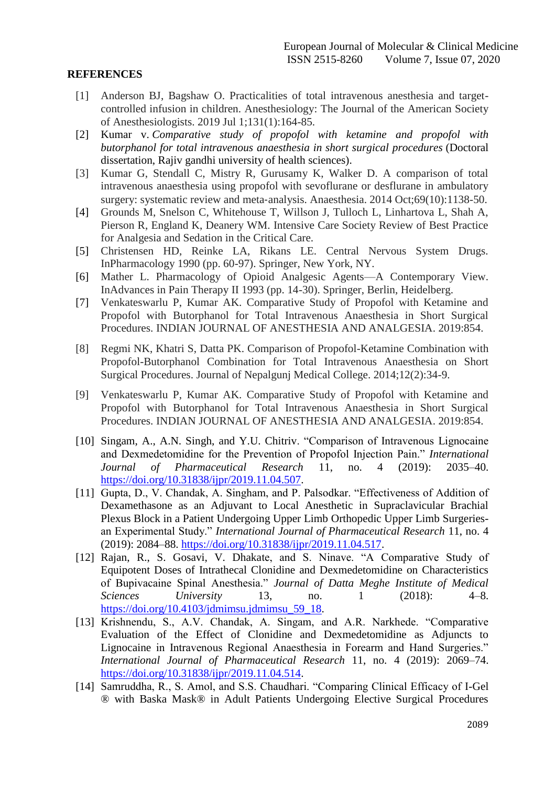# **REFERENCES**

- [1] Anderson BJ, Bagshaw O. Practicalities of total intravenous anesthesia and targetcontrolled infusion in children. Anesthesiology: The Journal of the American Society of Anesthesiologists. 2019 Jul 1;131(1):164-85.
- [2] Kumar v. *Comparative study of propofol with ketamine and propofol with butorphanol for total intravenous anaesthesia in short surgical procedures* (Doctoral dissertation, Rajiv gandhi university of health sciences).
- [3] Kumar G, Stendall C, Mistry R, Gurusamy K, Walker D. A comparison of total intravenous anaesthesia using propofol with sevoflurane or desflurane in ambulatory surgery: systematic review and meta-analysis. Anaesthesia. 2014 Oct:69(10):1138-50.
- [4] Grounds M, Snelson C, Whitehouse T, Willson J, Tulloch L, Linhartova L, Shah A, Pierson R, England K, Deanery WM. Intensive Care Society Review of Best Practice for Analgesia and Sedation in the Critical Care.
- [5] Christensen HD, Reinke LA, Rikans LE. Central Nervous System Drugs. InPharmacology 1990 (pp. 60-97). Springer, New York, NY.
- [6] Mather L. Pharmacology of Opioid Analgesic Agents—A Contemporary View. InAdvances in Pain Therapy II 1993 (pp. 14-30). Springer, Berlin, Heidelberg.
- [7] Venkateswarlu P, Kumar AK. Comparative Study of Propofol with Ketamine and Propofol with Butorphanol for Total Intravenous Anaesthesia in Short Surgical Procedures. INDIAN JOURNAL OF ANESTHESIA AND ANALGESIA. 2019:854.
- [8] Regmi NK, Khatri S, Datta PK. Comparison of Propofol-Ketamine Combination with Propofol-Butorphanol Combination for Total Intravenous Anaesthesia on Short Surgical Procedures. Journal of Nepalgunj Medical College. 2014;12(2):34-9.
- [9] Venkateswarlu P, Kumar AK. Comparative Study of Propofol with Ketamine and Propofol with Butorphanol for Total Intravenous Anaesthesia in Short Surgical Procedures. INDIAN JOURNAL OF ANESTHESIA AND ANALGESIA. 2019:854.
- [10] Singam, A., A.N. Singh, and Y.U. Chitriv. "Comparison of Intravenous Lignocaine and Dexmedetomidine for the Prevention of Propofol Injection Pain.‖ *International Journal of Pharmaceutical Research* 11, no. 4 (2019): 2035–40. [https://doi.org/10.31838/ijpr/2019.11.04.507.](https://doi.org/10.31838/ijpr/2019.11.04.507)
- [11] Gupta, D., V. Chandak, A. Singham, and P. Palsodkar. "Effectiveness of Addition of Dexamethasone as an Adjuvant to Local Anesthetic in Supraclavicular Brachial Plexus Block in a Patient Undergoing Upper Limb Orthopedic Upper Limb Surgeriesan Experimental Study.‖ *International Journal of Pharmaceutical Research* 11, no. 4 (2019): 2084–88. [https://doi.org/10.31838/ijpr/2019.11.04.517.](https://doi.org/10.31838/ijpr/2019.11.04.517)
- [12] Rajan, R., S. Gosavi, V. Dhakate, and S. Ninave. "A Comparative Study of Equipotent Doses of Intrathecal Clonidine and Dexmedetomidine on Characteristics of Bupivacaine Spinal Anesthesia.‖ *Journal of Datta Meghe Institute of Medical Sciences University* 13, no. 1 (2018): 4–8. [https://doi.org/10.4103/jdmimsu.jdmimsu\\_59\\_18.](https://doi.org/10.4103/jdmimsu.jdmimsu_59_18)
- [13] Krishnendu, S., A.V. Chandak, A. Singam, and A.R. Narkhede. "Comparative Evaluation of the Effect of Clonidine and Dexmedetomidine as Adjuncts to Lignocaine in Intravenous Regional Anaesthesia in Forearm and Hand Surgeries." *International Journal of Pharmaceutical Research* 11, no. 4 (2019): 2069–74. [https://doi.org/10.31838/ijpr/2019.11.04.514.](https://doi.org/10.31838/ijpr/2019.11.04.514)
- [14] Samruddha, R., S. Amol, and S.S. Chaudhari. "Comparing Clinical Efficacy of I-Gel ® with Baska Mask® in Adult Patients Undergoing Elective Surgical Procedures